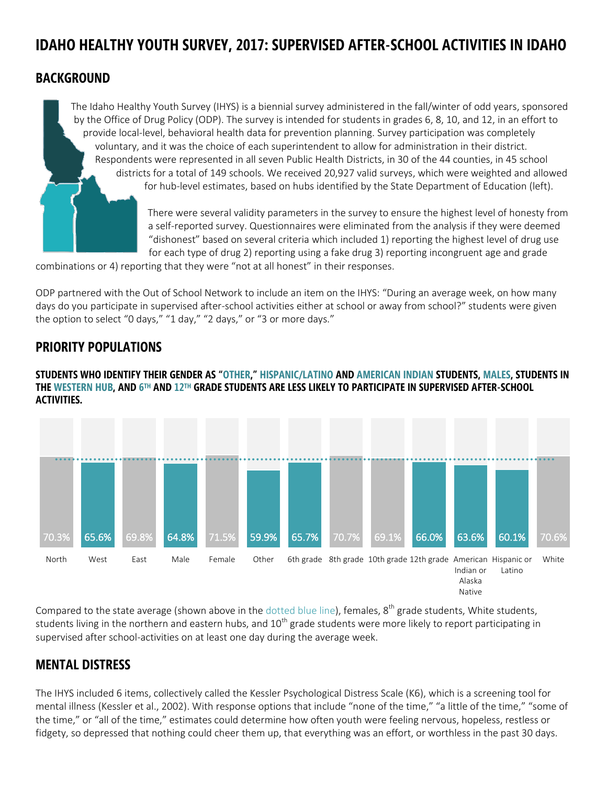# **IDAHO HEALTHY YOUTH SURVEY, 2017: SUPERVISED AFTER-SCHOOL ACTIVITIES IN IDAHO**

### **BACKGROUND**

The Idaho Healthy Youth Survey (IHYS) is a biennial survey administered in the fall/winter of odd years, sponsored by the Office of Drug Policy (ODP). The survey is intended for students in grades 6, 8, 10, and 12, in an effort to provide local-level, behavioral health data for prevention planning. Survey participation was completely voluntary, and it was the choice of each superintendent to allow for administration in their district. Respondents were represented in all seven Public Health Districts, in 30 of the 44 counties, in 45 school districts for a total of 149 schools. We received 20,927 valid surveys, which were weighted and allowed for hub-level estimates, based on hubs identified by the State Department of Education (left).

> There were several validity parameters in the survey to ensure the highest level of honesty from a self-reported survey. Questionnaires were eliminated from the analysis if they were deemed "dishonest" based on several criteria which included 1) reporting the highest level of drug use for each type of drug 2) reporting using a fake drug 3) reporting incongruent age and grade

combinations or 4) reporting that they were "not at all honest" in their responses.

ODP partnered with the Out of School Network to include an item on the IHYS: "During an average week, on how many days do you participate in supervised after-school activities either at school or away from school?" students were given the option to select "0 days," "1 day," "2 days," or "3 or more days."

# **PRIORITY POPULATIONS**

**STUDENTS WHO IDENTIFY THEIR GENDER AS "OTHER," HISPANIC/LATINO AND AMERICAN INDIAN STUDENTS, MALES, STUDENTS IN THE WESTERN HUB, AND 6 TH AND 12TH GRADE STUDENTS ARE LESS LIKELY TO PARTICIPATE IN SUPERVISED AFTER-SCHOOL ACTIVITIES.**



Compared to the state average (shown above in the dotted blue line), females,  $8^{th}$  grade students, White students, students living in the northern and eastern hubs, and  $10^{th}$  grade students were more likely to report participating in supervised after school-activities on at least one day during the average week.

# **MENTAL DISTRESS**

The IHYS included 6 items, collectively called the Kessler Psychological Distress Scale (K6), which is a screening tool for mental illness (Kessler et al., 2002). With response options that include "none of the time," "a little of the time," "some of the time," or "all of the time," estimates could determine how often youth were feeling nervous, hopeless, restless or fidgety, so depressed that nothing could cheer them up, that everything was an effort, or worthless in the past 30 days.